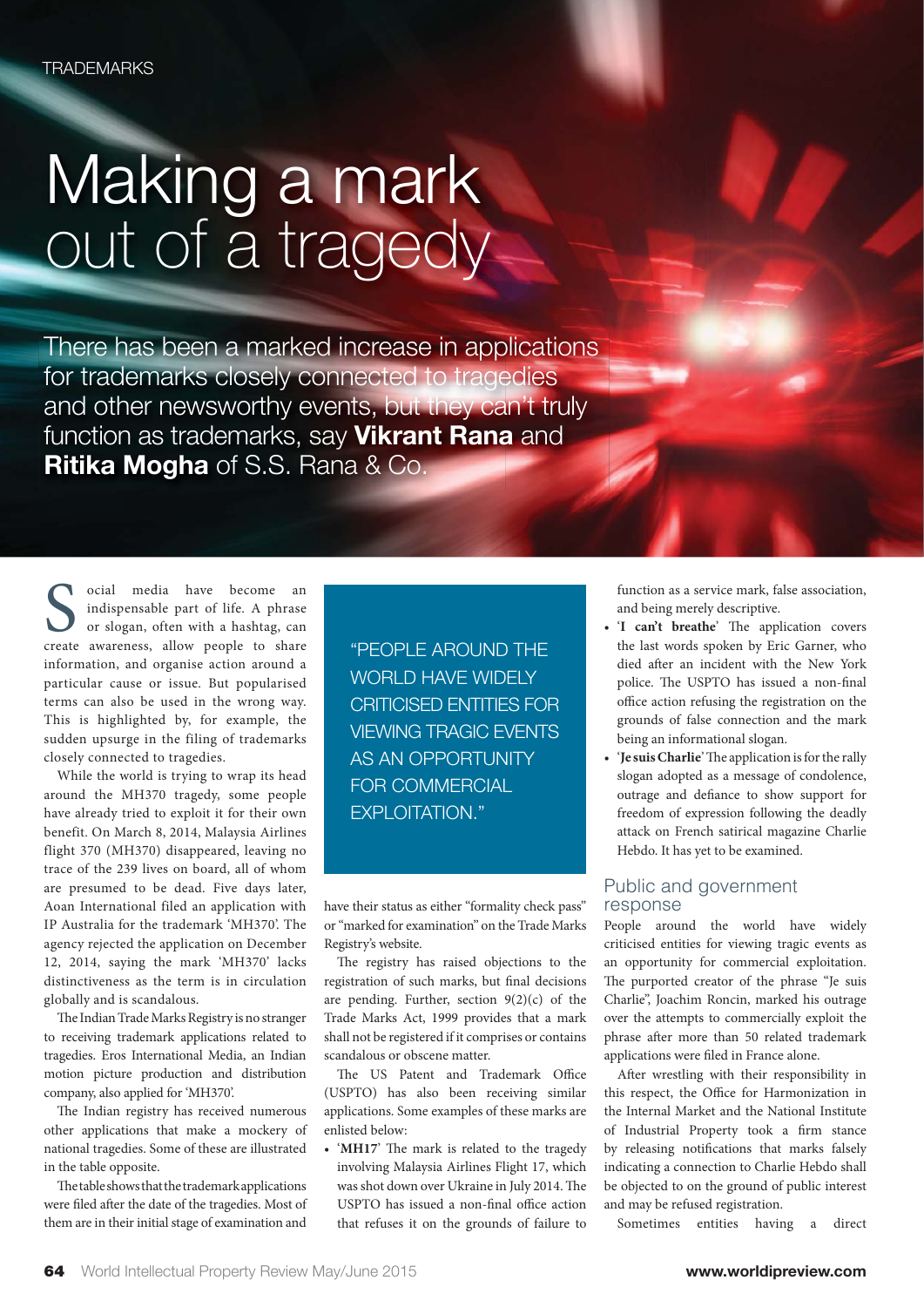## Making a mark out of a tragedy

There has been a marked increase in applications for trademarks closely connected to tragedies and other newsworthy events, but they can't truly function as trademarks, say **Vikrant Rana** and **Ritika Mogha** of S.S. Rana & Co.

ocial media have become an indispensable part of life. A phrase or slogan, often with a hashtag, can create awareness, allow people to share information, and organise action around a particular cause or issue. But popularised terms can also be used in the wrong way. This is highlighted by, for example, the sudden upsurge in the filing of trademarks closely connected to tragedies.

While the world is trying to wrap its head around the MH370 tragedy, some people have already tried to exploit it for their own benefit. On March 8, 2014, Malaysia Airlines flight 370 (MH370) disappeared, leaving no trace of the 239 lives on board, all of whom are presumed to be dead. Five days later, Aoan International filed an application with IP Australia for the trademark 'MH370'. The agency rejected the application on December 12, 2014, saying the mark 'MH370' lacks distinctiveness as the term is in circulation globally and is scandalous.

The Indian Trade Marks Registry is no stranger to receiving trademark applications related to tragedies. Eros International Media, an Indian motion picture production and distribution company, also applied for 'MH370'.

The Indian registry has received numerous other applications that make a mockery of national tragedies. Some of these are illustrated in the table opposite.

The table shows that the trademark applications were filed after the date of the tragedies. Most of them are in their initial stage of examination and

"PEOPLE AROUND THE WORLD HAVE WIDELY CRITICISED ENTITIES FOR VIEWING TRAGIC EVENTS AS AN OPPORTUNITY FOR COMMERCIAL EXPLOITATION."

have their status as either "formality check pass" or "marked for examination" on the Trade Marks Registry's website.

The registry has raised objections to the registration of such marks, but final decisions are pending. Further, section  $9(2)(c)$  of the Trade Marks Act, 1999 provides that a mark shall not be registered if it comprises or contains scandalous or obscene matter.

The US Patent and Trademark Office (USPTO) has also been receiving similar applications. Some examples of these marks are enlisted below:

• 'MH17' The mark is related to the tragedy involving Malaysia Airlines Flight 17, which was shot down over Ukraine in July 2014. The USPTO has issued a non-final office action that refuses it on the grounds of failure to function as a service mark, false association, and being merely descriptive.

- 'I can't breathe' The application covers the last words spoken by Eric Garner, who died after an incident with the New York police. The USPTO has issued a non-final office action refusing the registration on the grounds of false connection and the mark being an informational slogan.
- 'Je suis Charlie' The application is for the rally slogan adopted as a message of condolence, outrage and defiance to show support for freedom of expression following the deadly attack on French satirical magazine Charlie Hebdo. It has yet to be examined.

## Public and government response

People around the world have widely criticised entities for viewing tragic events as an opportunity for commercial exploitation. The purported creator of the phrase "Je suis Charlie", Joachim Roncin, marked his outrage over the attempts to commercially exploit the phrase after more than 50 related trademark applications were filed in France alone.

After wrestling with their responsibility in this respect, the Office for Harmonization in the Internal Market and the National Institute of Industrial Property took a firm stance by releasing notifications that marks falsely indicating a connection to Charlie Hebdo shall be objected to on the ground of public interest and may be refused registration.

Sometimes entities having a direct